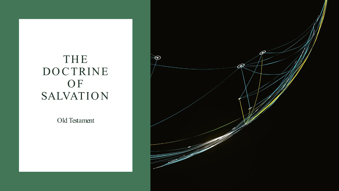#### THE DOCTRINE O<sub>F</sub> **SALVATION**

Old Testament

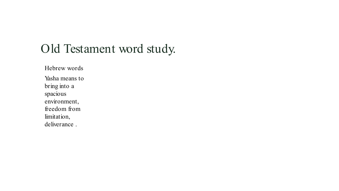## Old Testament word study.

Hebrew words Yasha means to bring into a spacious environment, freedom from limitation, deliverance .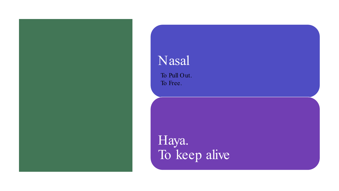## Nasal

To Pull Out. To Free.

Haya. To keep alive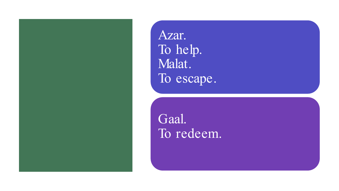Azar. To help. Malat. To escape.

Gaal. To redeem.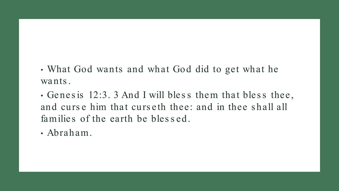• What God wants and what God did to get what he wants.

• Genesis 12:3. 3 And I will bless them that bless thee, and curse him that curseth thee: and in thee shall all families of the earth be blessed.

· Abraham.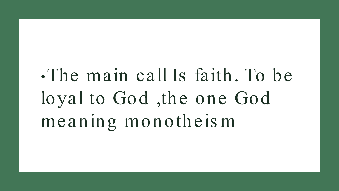# The main call Is faith. To be loyal to God, the one God meaning monotheism.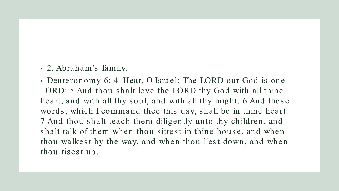• 2. Abraham's family.

• Deuteronomy 6: 4 Hear, O Israel: The LORD our God is one LORD: 5 And thou shalt love the LORD thy God with all thine heart, and with all thy soul, and with all thy might. 6 And thes e words, which I command thee this day, shall be in thine heart: 7 And thou shalt teach them diligently unto thy children, and shalt talk of them when thou sittest in thine house, and when thou walkest by the way, and when thou liest down, and when thou risest up.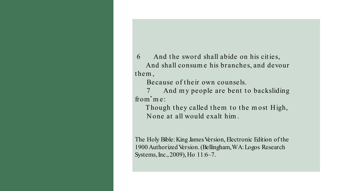6 And the sword shall abide on his cities, And shall consum e his branches, and devour them,

Because of their own counsels.

from 'me: 7 And my people are bent to backsliding

Though they called them to the most High, None at all would exalt him .

The Holy Bible: King James Version, Electronic Edition of the 1900 Authorized Version. (Bellingham, WA: Logos Research Systems, Inc., 2009), Ho 11:6–7.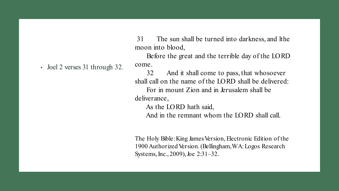31 The sun shall be turned into darkness, and lthe moon into blood,

Before the great and the terrible day of the LORD

• Joel 2 verses 31 through 32.

32 And it shall come to pass, that whosoever shall call on the name of the LORD shall be delivered: For in mount Zion and in Jerusalem shall be deliverance,

As the LORD hath said,

come.

And in the remnant whom the LORD shall call.

The Holy Bible: King James Version, Electronic Edition of the 1900 Authorized Version. (Bellingham, WA: Logos Research Systems, Inc., 2009), Joe 2:31–32.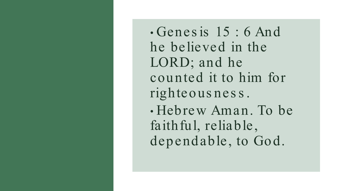• Genes is 15 : 6 And he believed in the LORD; and he counted it to him for righteous nes s . • Hebrew Aman. To be faithful, reliable, dependable, to God.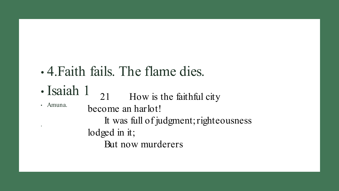# • 4.Faith fails. The flame dies.

- Isaiah 1 21 How is the faithful city
- Amuna.

.

become an harlot! It was full of judgment; righteousness lodged in it; But now murderers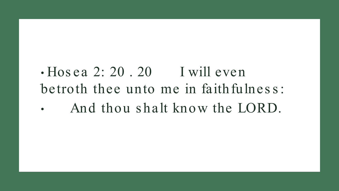### · Hosea 2: 20.20 I will even betroth thee unto me in faithfulness: And thou shalt know the LORD.  $\bullet$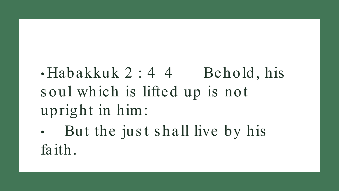$\cdot$ Habakkuk 2:44 Behold, his s oul which is lifted up is not upright in him:

But the just shall live by his faith.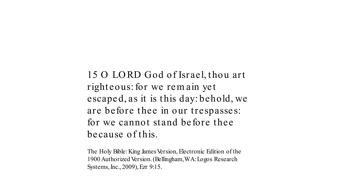15 O LORD God of Israel, thou art righteous: for we rem ain yet escaped, as it is this day: behold, we are before thee in our trespasses: for we cannot stand before thee because of this.

The Holy Bible: King James Version, Electronic Edition of the 1900 Authorized Version. (Bellingham, WA: Logos Research Systems, Inc., 2009), Ezr 9:15.